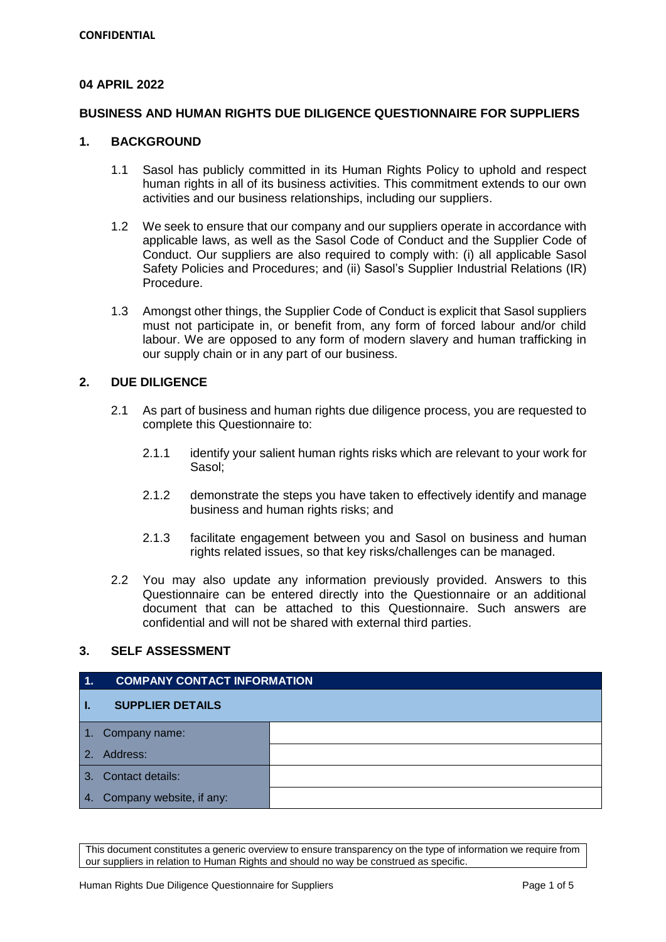## **04 APRIL 2022**

### **BUSINESS AND HUMAN RIGHTS DUE DILIGENCE QUESTIONNAIRE FOR SUPPLIERS**

## **1. BACKGROUND**

- 1.1 Sasol has publicly committed in its Human Rights Policy to uphold and respect human rights in all of its business activities. This commitment extends to our own activities and our business relationships, including our suppliers.
- 1.2 We seek to ensure that our company and our suppliers operate in accordance with applicable laws, as well as the Sasol Code of Conduct and the Supplier Code of Conduct. Our suppliers are also required to comply with: (i) all applicable Sasol Safety Policies and Procedures; and (ii) Sasol's Supplier Industrial Relations (IR) Procedure.
- 1.3 Amongst other things, the Supplier Code of Conduct is explicit that Sasol suppliers must not participate in, or benefit from, any form of forced labour and/or child labour. We are opposed to any form of modern slavery and human trafficking in our supply chain or in any part of our business.

### **2. DUE DILIGENCE**

- 2.1 As part of business and human rights due diligence process, you are requested to complete this Questionnaire to:
	- 2.1.1 identify your salient human rights risks which are relevant to your work for Sasol;
	- 2.1.2 demonstrate the steps you have taken to effectively identify and manage business and human rights risks; and
	- 2.1.3 facilitate engagement between you and Sasol on business and human rights related issues, so that key risks/challenges can be managed.
- 2.2 You may also update any information previously provided. Answers to this Questionnaire can be entered directly into the Questionnaire or an additional document that can be attached to this Questionnaire. Such answers are confidential and will not be shared with external third parties.

#### **3. SELF ASSESSMENT**

# **1. COMPANY CONTACT INFORMATION I. SUPPLIER DETAILS** 1. Company name: 2. Address: 3. Contact details: 4. Company website, if any: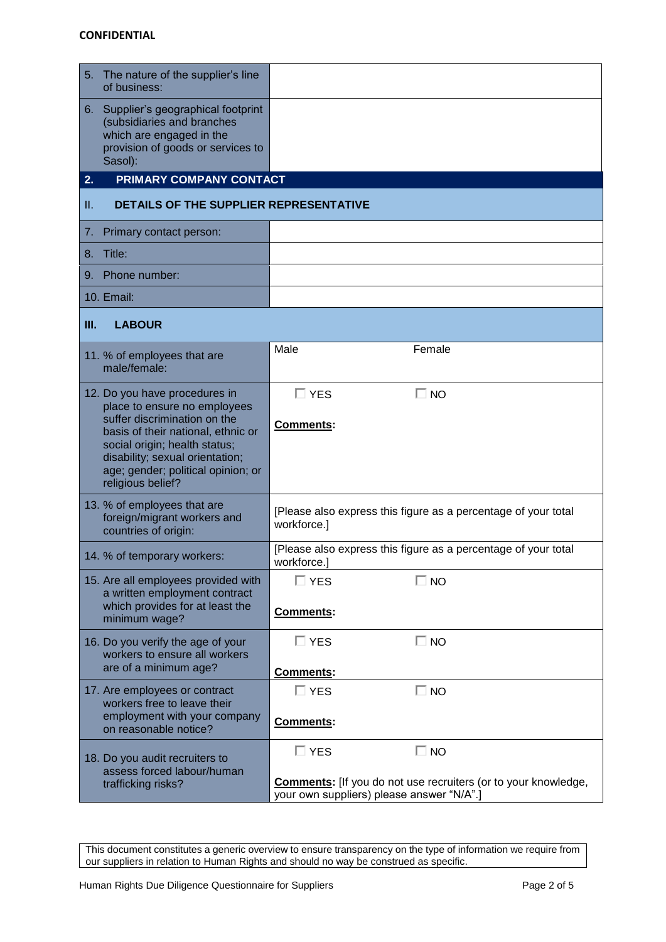| 5. The nature of the supplier's line<br>of business:                                                                                                                                                                                                               |                                                                                                     |  |  |  |
|--------------------------------------------------------------------------------------------------------------------------------------------------------------------------------------------------------------------------------------------------------------------|-----------------------------------------------------------------------------------------------------|--|--|--|
| 6. Supplier's geographical footprint<br>(subsidiaries and branches<br>which are engaged in the<br>provision of goods or services to<br>Sasol):                                                                                                                     |                                                                                                     |  |  |  |
| PRIMARY COMPANY CONTACT<br>2.                                                                                                                                                                                                                                      |                                                                                                     |  |  |  |
| DETAILS OF THE SUPPLIER REPRESENTATIVE<br>H.                                                                                                                                                                                                                       |                                                                                                     |  |  |  |
| Primary contact person:<br>7.                                                                                                                                                                                                                                      |                                                                                                     |  |  |  |
| 8. Title:                                                                                                                                                                                                                                                          |                                                                                                     |  |  |  |
| Phone number:<br>9.                                                                                                                                                                                                                                                |                                                                                                     |  |  |  |
| 10. Email:                                                                                                                                                                                                                                                         |                                                                                                     |  |  |  |
| III.<br><b>LABOUR</b>                                                                                                                                                                                                                                              |                                                                                                     |  |  |  |
| 11. % of employees that are<br>male/female:                                                                                                                                                                                                                        | Male<br>Female                                                                                      |  |  |  |
| 12. Do you have procedures in<br>place to ensure no employees<br>suffer discrimination on the<br>basis of their national, ethnic or<br>social origin; health status;<br>disability; sexual orientation;<br>age; gender; political opinion; or<br>religious belief? | $\Box$ NO<br>$\Box$ YES<br>Comments:                                                                |  |  |  |
| 13. % of employees that are<br>foreign/migrant workers and<br>countries of origin:                                                                                                                                                                                 | [Please also express this figure as a percentage of your total<br>workforce.]                       |  |  |  |
| 14. % of temporary workers:                                                                                                                                                                                                                                        | [Please also express this figure as a percentage of your total<br>workforce.                        |  |  |  |
| 15. Are all employees provided with<br>a written employment contract                                                                                                                                                                                               | $\Box$ YES<br>$\square$ NO                                                                          |  |  |  |
| which provides for at least the<br>minimum wage?                                                                                                                                                                                                                   | Comments:                                                                                           |  |  |  |
| 16. Do you verify the age of your<br>workers to ensure all workers                                                                                                                                                                                                 | $\Box$ NO<br>$\Box$ YES                                                                             |  |  |  |
| are of a minimum age?                                                                                                                                                                                                                                              | <b>Comments:</b>                                                                                    |  |  |  |
| 17. Are employees or contract<br>workers free to leave their<br>employment with your company<br>on reasonable notice?                                                                                                                                              | $\Box$ NO<br>$\Box$ YES<br>Comments:                                                                |  |  |  |
| 18. Do you audit recruiters to<br>assess forced labour/human<br>trafficking risks?                                                                                                                                                                                 | $\square$ NO<br>$\Box$ YES<br><b>Comments:</b> [If you do not use recruiters (or to your knowledge, |  |  |  |
|                                                                                                                                                                                                                                                                    | your own suppliers) please answer "N/A".]                                                           |  |  |  |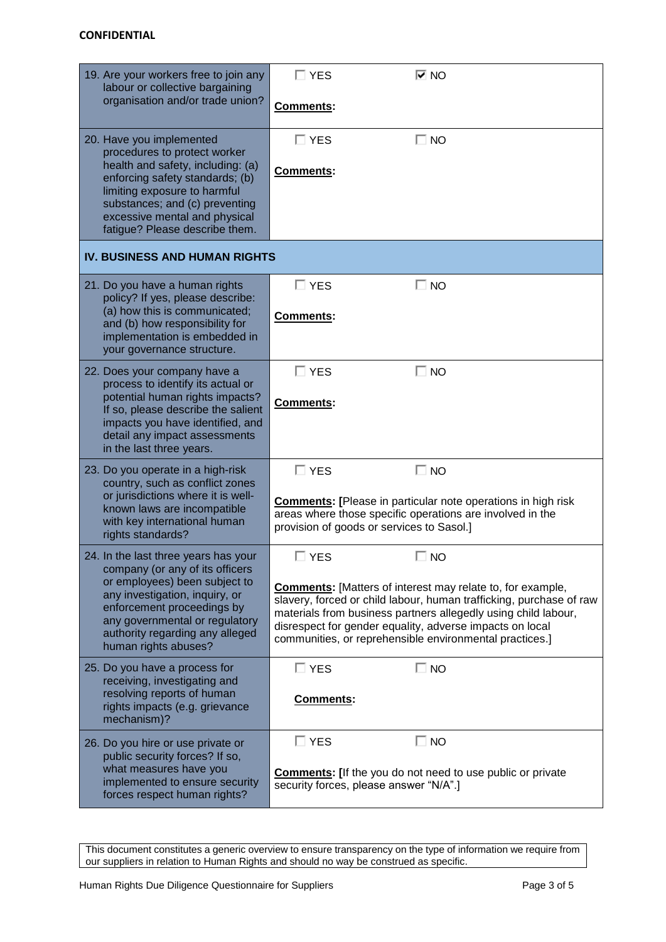| 19. Are your workers free to join any<br>labour or collective bargaining<br>organisation and/or trade union?                                                                               | $\Box$ YES                                                                                                                                                                                                                                                                                                                        | $\overline{\triangledown}$ NO                                                                                                                                                 |  |  |  |
|--------------------------------------------------------------------------------------------------------------------------------------------------------------------------------------------|-----------------------------------------------------------------------------------------------------------------------------------------------------------------------------------------------------------------------------------------------------------------------------------------------------------------------------------|-------------------------------------------------------------------------------------------------------------------------------------------------------------------------------|--|--|--|
|                                                                                                                                                                                            | <b>Comments:</b>                                                                                                                                                                                                                                                                                                                  |                                                                                                                                                                               |  |  |  |
| 20. Have you implemented<br>procedures to protect worker                                                                                                                                   | $\Box$ YES                                                                                                                                                                                                                                                                                                                        | $\Box$ NO                                                                                                                                                                     |  |  |  |
| health and safety, including: (a)<br>enforcing safety standards; (b)<br>limiting exposure to harmful<br>substances; and (c) preventing                                                     | Comments:                                                                                                                                                                                                                                                                                                                         |                                                                                                                                                                               |  |  |  |
| excessive mental and physical<br>fatigue? Please describe them.                                                                                                                            |                                                                                                                                                                                                                                                                                                                                   |                                                                                                                                                                               |  |  |  |
| <b>IV. BUSINESS AND HUMAN RIGHTS</b>                                                                                                                                                       |                                                                                                                                                                                                                                                                                                                                   |                                                                                                                                                                               |  |  |  |
| 21. Do you have a human rights<br>policy? If yes, please describe:                                                                                                                         | $\Box$ YES                                                                                                                                                                                                                                                                                                                        | $\Box$ NO                                                                                                                                                                     |  |  |  |
| (a) how this is communicated;<br>and (b) how responsibility for<br>implementation is embedded in<br>your governance structure.                                                             | Comments:                                                                                                                                                                                                                                                                                                                         |                                                                                                                                                                               |  |  |  |
| 22. Does your company have a<br>process to identify its actual or                                                                                                                          | $\Box$ YES                                                                                                                                                                                                                                                                                                                        | $\Box$ NO                                                                                                                                                                     |  |  |  |
| potential human rights impacts?<br>If so, please describe the salient<br>impacts you have identified, and<br>detail any impact assessments<br>in the last three years.                     | <b>Comments:</b>                                                                                                                                                                                                                                                                                                                  |                                                                                                                                                                               |  |  |  |
| 23. Do you operate in a high-risk<br>country, such as conflict zones                                                                                                                       | $\square$ YES                                                                                                                                                                                                                                                                                                                     | $\Box$ NO                                                                                                                                                                     |  |  |  |
| or jurisdictions where it is well-<br>known laws are incompatible<br>with key international human<br>rights standards?                                                                     |                                                                                                                                                                                                                                                                                                                                   | <b>Comments:</b> [Please in particular note operations in high risk<br>areas where those specific operations are involved in the<br>provision of goods or services to Sasol.] |  |  |  |
| 24. In the last three years has your<br>company (or any of its officers                                                                                                                    | <b>YES</b>                                                                                                                                                                                                                                                                                                                        | <b>NO</b>                                                                                                                                                                     |  |  |  |
| or employees) been subject to<br>any investigation, inquiry, or<br>enforcement proceedings by<br>any governmental or regulatory<br>authority regarding any alleged<br>human rights abuses? | <b>Comments:</b> [Matters of interest may relate to, for example,<br>slavery, forced or child labour, human trafficking, purchase of raw<br>materials from business partners allegedly using child labour,<br>disrespect for gender equality, adverse impacts on local<br>communities, or reprehensible environmental practices.] |                                                                                                                                                                               |  |  |  |
| 25. Do you have a process for<br>receiving, investigating and                                                                                                                              | $\Box$ YES                                                                                                                                                                                                                                                                                                                        | $\Box$ NO                                                                                                                                                                     |  |  |  |
| resolving reports of human<br>rights impacts (e.g. grievance<br>mechanism)?                                                                                                                | Comments:                                                                                                                                                                                                                                                                                                                         |                                                                                                                                                                               |  |  |  |
| 26. Do you hire or use private or<br>public security forces? If so,                                                                                                                        | $\square$ YES                                                                                                                                                                                                                                                                                                                     | $\Box$ No                                                                                                                                                                     |  |  |  |
| what measures have you<br>implemented to ensure security<br>forces respect human rights?                                                                                                   |                                                                                                                                                                                                                                                                                                                                   | <b>Comments:</b> [If the you do not need to use public or private<br>security forces, please answer "N/A".]                                                                   |  |  |  |